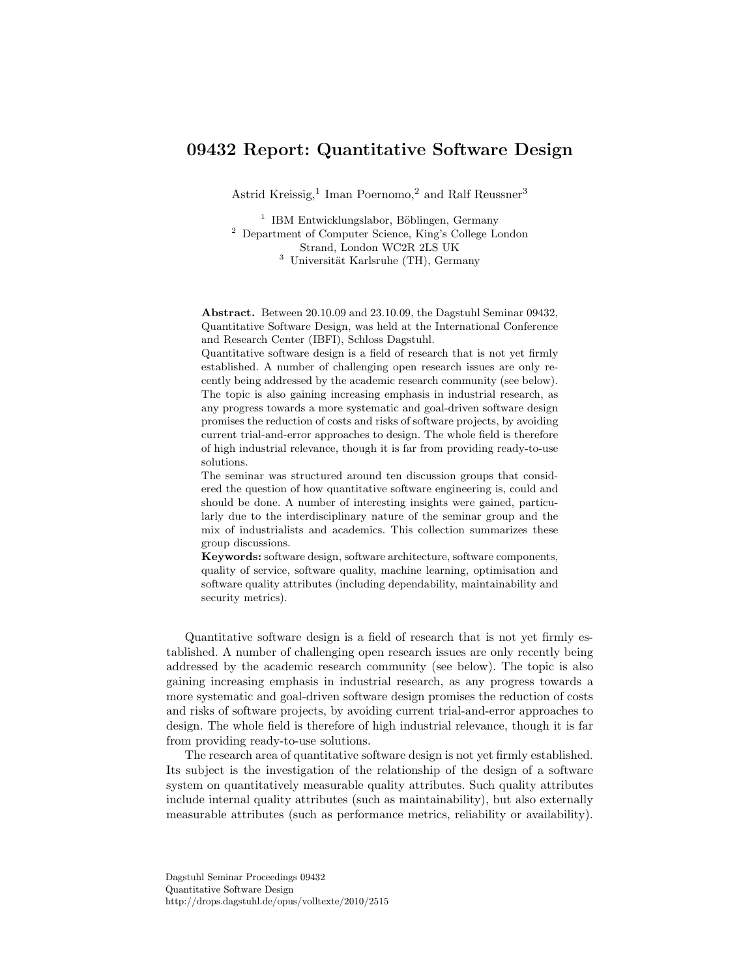# 09432 Report: Quantitative Software Design

Astrid Kreissig,<sup>1</sup> Iman Poernomo,<sup>2</sup> and Ralf Reussner<sup>3</sup>

<sup>1</sup> IBM Entwicklungslabor, Böblingen, Germany <sup>2</sup> Department of Computer Science, King's College London Strand, London WC2R 2LS UK  $3$  Universität Karlsruhe (TH), Germany

Abstract. Between 20.10.09 and 23.10.09, the Dagstuhl Seminar 09432, Quantitative Software Design, was held at the International Conference and Research Center (IBFI), Schloss Dagstuhl.

Quantitative software design is a field of research that is not yet firmly established. A number of challenging open research issues are only recently being addressed by the academic research community (see below). The topic is also gaining increasing emphasis in industrial research, as any progress towards a more systematic and goal-driven software design promises the reduction of costs and risks of software projects, by avoiding current trial-and-error approaches to design. The whole field is therefore of high industrial relevance, though it is far from providing ready-to-use solutions.

The seminar was structured around ten discussion groups that considered the question of how quantitative software engineering is, could and should be done. A number of interesting insights were gained, particularly due to the interdisciplinary nature of the seminar group and the mix of industrialists and academics. This collection summarizes these group discussions.

Keywords: software design, software architecture, software components, quality of service, software quality, machine learning, optimisation and software quality attributes (including dependability, maintainability and security metrics).

Quantitative software design is a field of research that is not yet firmly established. A number of challenging open research issues are only recently being addressed by the academic research community (see below). The topic is also gaining increasing emphasis in industrial research, as any progress towards a more systematic and goal-driven software design promises the reduction of costs and risks of software projects, by avoiding current trial-and-error approaches to design. The whole field is therefore of high industrial relevance, though it is far from providing ready-to-use solutions.

The research area of quantitative software design is not yet firmly established. Its subject is the investigation of the relationship of the design of a software system on quantitatively measurable quality attributes. Such quality attributes include internal quality attributes (such as maintainability), but also externally measurable attributes (such as performance metrics, reliability or availability).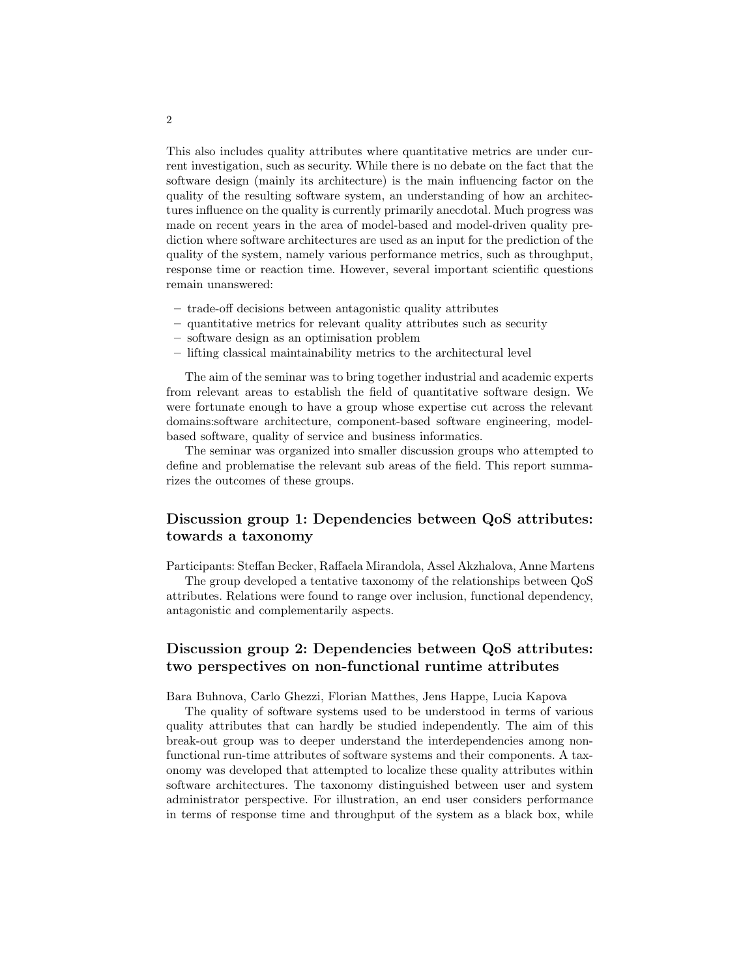This also includes quality attributes where quantitative metrics are under current investigation, such as security. While there is no debate on the fact that the software design (mainly its architecture) is the main influencing factor on the quality of the resulting software system, an understanding of how an architectures influence on the quality is currently primarily anecdotal. Much progress was made on recent years in the area of model-based and model-driven quality prediction where software architectures are used as an input for the prediction of the quality of the system, namely various performance metrics, such as throughput, response time or reaction time. However, several important scientific questions remain unanswered:

- trade-off decisions between antagonistic quality attributes
- quantitative metrics for relevant quality attributes such as security
- software design as an optimisation problem
- lifting classical maintainability metrics to the architectural level

The aim of the seminar was to bring together industrial and academic experts from relevant areas to establish the field of quantitative software design. We were fortunate enough to have a group whose expertise cut across the relevant domains:software architecture, component-based software engineering, modelbased software, quality of service and business informatics.

The seminar was organized into smaller discussion groups who attempted to define and problematise the relevant sub areas of the field. This report summarizes the outcomes of these groups.

## Discussion group 1: Dependencies between QoS attributes: towards a taxonomy

Participants: Steffan Becker, Raffaela Mirandola, Assel Akzhalova, Anne Martens

The group developed a tentative taxonomy of the relationships between QoS attributes. Relations were found to range over inclusion, functional dependency, antagonistic and complementarily aspects.

## Discussion group 2: Dependencies between QoS attributes: two perspectives on non-functional runtime attributes

Bara Buhnova, Carlo Ghezzi, Florian Matthes, Jens Happe, Lucia Kapova

The quality of software systems used to be understood in terms of various quality attributes that can hardly be studied independently. The aim of this break-out group was to deeper understand the interdependencies among nonfunctional run-time attributes of software systems and their components. A taxonomy was developed that attempted to localize these quality attributes within software architectures. The taxonomy distinguished between user and system administrator perspective. For illustration, an end user considers performance in terms of response time and throughput of the system as a black box, while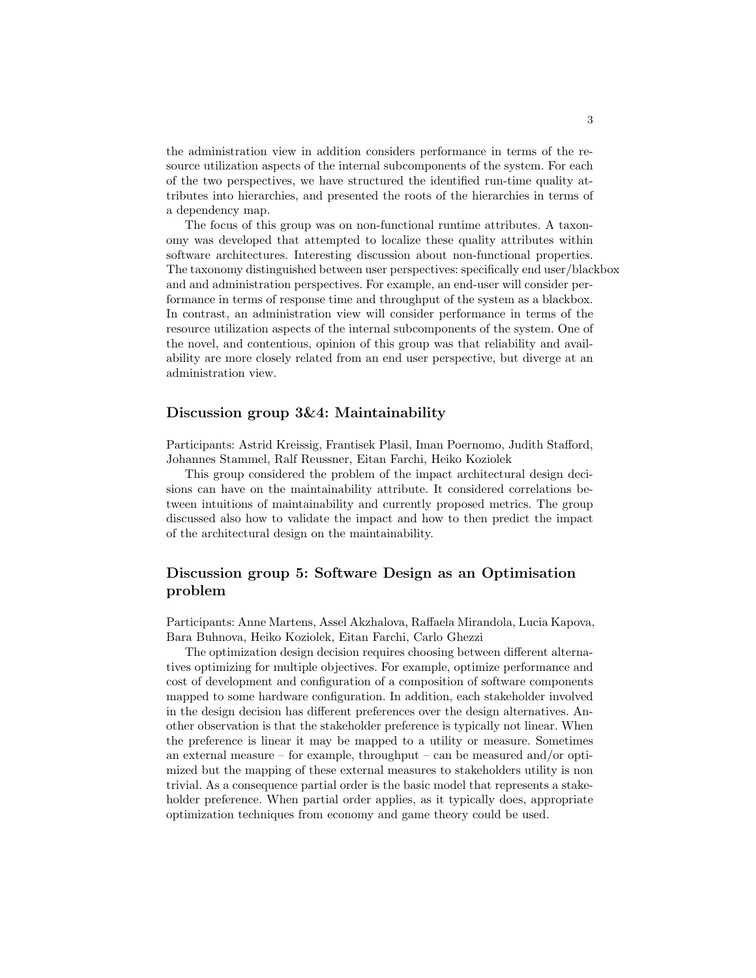the administration view in addition considers performance in terms of the resource utilization aspects of the internal subcomponents of the system. For each of the two perspectives, we have structured the identified run-time quality attributes into hierarchies, and presented the roots of the hierarchies in terms of a dependency map.

The focus of this group was on non-functional runtime attributes. A taxonomy was developed that attempted to localize these quality attributes within software architectures. Interesting discussion about non-functional properties. The taxonomy distinguished between user perspectives: specifically end user/blackbox and and administration perspectives. For example, an end-user will consider performance in terms of response time and throughput of the system as a blackbox. In contrast, an administration view will consider performance in terms of the resource utilization aspects of the internal subcomponents of the system. One of the novel, and contentious, opinion of this group was that reliability and availability are more closely related from an end user perspective, but diverge at an administration view.

### Discussion group 3&4: Maintainability

Participants: Astrid Kreissig, Frantisek Plasil, Iman Poernomo, Judith Stafford, Johannes Stammel, Ralf Reussner, Eitan Farchi, Heiko Koziolek

This group considered the problem of the impact architectural design decisions can have on the maintainability attribute. It considered correlations between intuitions of maintainability and currently proposed metrics. The group discussed also how to validate the impact and how to then predict the impact of the architectural design on the maintainability.

## Discussion group 5: Software Design as an Optimisation problem

Participants: Anne Martens, Assel Akzhalova, Raffaela Mirandola, Lucia Kapova, Bara Buhnova, Heiko Koziolek, Eitan Farchi, Carlo Ghezzi

The optimization design decision requires choosing between different alternatives optimizing for multiple objectives. For example, optimize performance and cost of development and configuration of a composition of software components mapped to some hardware configuration. In addition, each stakeholder involved in the design decision has different preferences over the design alternatives. Another observation is that the stakeholder preference is typically not linear. When the preference is linear it may be mapped to a utility or measure. Sometimes an external measure – for example, throughput – can be measured and/or optimized but the mapping of these external measures to stakeholders utility is non trivial. As a consequence partial order is the basic model that represents a stakeholder preference. When partial order applies, as it typically does, appropriate optimization techniques from economy and game theory could be used.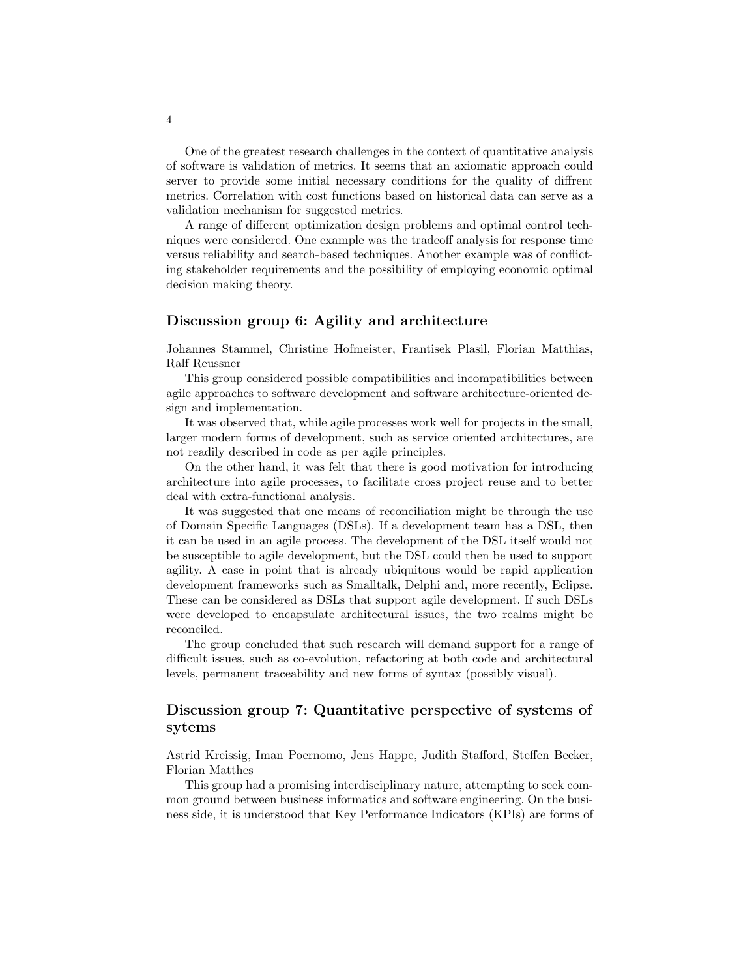One of the greatest research challenges in the context of quantitative analysis of software is validation of metrics. It seems that an axiomatic approach could server to provide some initial necessary conditions for the quality of diffrent metrics. Correlation with cost functions based on historical data can serve as a validation mechanism for suggested metrics.

A range of different optimization design problems and optimal control techniques were considered. One example was the tradeoff analysis for response time versus reliability and search-based techniques. Another example was of conflicting stakeholder requirements and the possibility of employing economic optimal decision making theory.

### Discussion group 6: Agility and architecture

Johannes Stammel, Christine Hofmeister, Frantisek Plasil, Florian Matthias, Ralf Reussner

This group considered possible compatibilities and incompatibilities between agile approaches to software development and software architecture-oriented design and implementation.

It was observed that, while agile processes work well for projects in the small, larger modern forms of development, such as service oriented architectures, are not readily described in code as per agile principles.

On the other hand, it was felt that there is good motivation for introducing architecture into agile processes, to facilitate cross project reuse and to better deal with extra-functional analysis.

It was suggested that one means of reconciliation might be through the use of Domain Specific Languages (DSLs). If a development team has a DSL, then it can be used in an agile process. The development of the DSL itself would not be susceptible to agile development, but the DSL could then be used to support agility. A case in point that is already ubiquitous would be rapid application development frameworks such as Smalltalk, Delphi and, more recently, Eclipse. These can be considered as DSLs that support agile development. If such DSLs were developed to encapsulate architectural issues, the two realms might be reconciled.

The group concluded that such research will demand support for a range of difficult issues, such as co-evolution, refactoring at both code and architectural levels, permanent traceability and new forms of syntax (possibly visual).

## Discussion group 7: Quantitative perspective of systems of sytems

Astrid Kreissig, Iman Poernomo, Jens Happe, Judith Stafford, Steffen Becker, Florian Matthes

This group had a promising interdisciplinary nature, attempting to seek common ground between business informatics and software engineering. On the business side, it is understood that Key Performance Indicators (KPIs) are forms of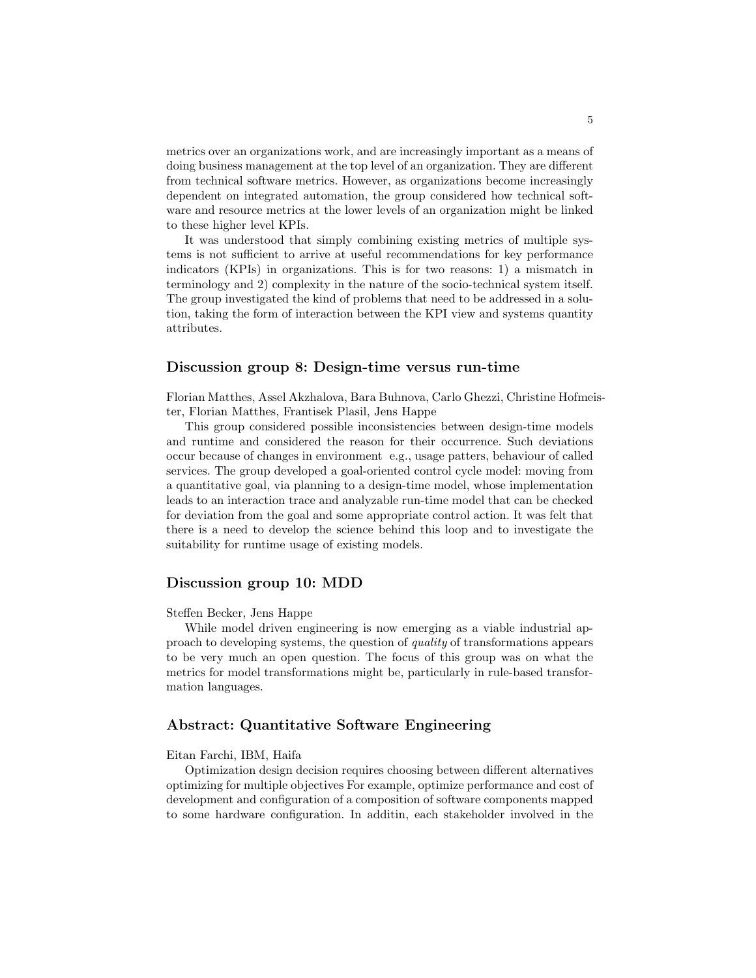metrics over an organizations work, and are increasingly important as a means of doing business management at the top level of an organization. They are different from technical software metrics. However, as organizations become increasingly dependent on integrated automation, the group considered how technical software and resource metrics at the lower levels of an organization might be linked to these higher level KPIs.

It was understood that simply combining existing metrics of multiple systems is not sufficient to arrive at useful recommendations for key performance indicators (KPIs) in organizations. This is for two reasons: 1) a mismatch in terminology and 2) complexity in the nature of the socio-technical system itself. The group investigated the kind of problems that need to be addressed in a solution, taking the form of interaction between the KPI view and systems quantity attributes.

### Discussion group 8: Design-time versus run-time

Florian Matthes, Assel Akzhalova, Bara Buhnova, Carlo Ghezzi, Christine Hofmeister, Florian Matthes, Frantisek Plasil, Jens Happe

This group considered possible inconsistencies between design-time models and runtime and considered the reason for their occurrence. Such deviations occur because of changes in environment e.g., usage patters, behaviour of called services. The group developed a goal-oriented control cycle model: moving from a quantitative goal, via planning to a design-time model, whose implementation leads to an interaction trace and analyzable run-time model that can be checked for deviation from the goal and some appropriate control action. It was felt that there is a need to develop the science behind this loop and to investigate the suitability for runtime usage of existing models.

#### Discussion group 10: MDD

#### Steffen Becker, Jens Happe

While model driven engineering is now emerging as a viable industrial approach to developing systems, the question of quality of transformations appears to be very much an open question. The focus of this group was on what the metrics for model transformations might be, particularly in rule-based transformation languages.

### Abstract: Quantitative Software Engineering

#### Eitan Farchi, IBM, Haifa

Optimization design decision requires choosing between different alternatives optimizing for multiple objectives For example, optimize performance and cost of development and configuration of a composition of software components mapped to some hardware configuration. In additin, each stakeholder involved in the